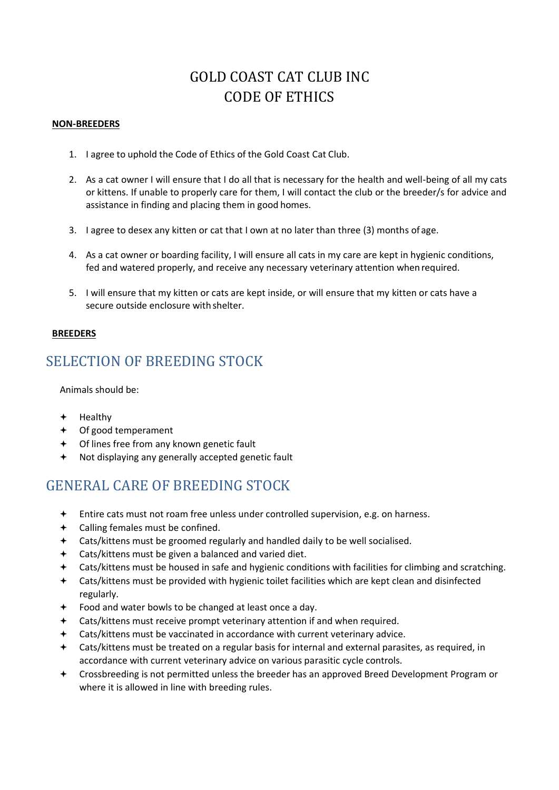# GOLD COAST CAT CLUB INC CODE OF ETHICS

#### **NON-BREEDERS**

- 1. I agree to uphold the Code of Ethics of the Gold Coast Cat Club.
- 2. As a cat owner I will ensure that I do all that is necessary for the health and well-being of all my cats or kittens. If unable to properly care for them, I will contact the club or the breeder/s for advice and assistance in finding and placing them in good homes.
- 3. I agree to desex any kitten or cat that I own at no later than three (3) months of age.
- 4. As a cat owner or boarding facility, I will ensure all cats in my care are kept in hygienic conditions, fed and watered properly, and receive any necessary veterinary attention when required.
- 5. I will ensure that my kitten or cats are kept inside, or will ensure that my kitten or cats have a secure outside enclosure with shelter.

#### **BREEDERS**

#### SELECTION OF BREEDING STOCK

Animals should be:

- $+$  Healthy
- Of good temperament
- Of lines free from any known genetic fault
- Not displaying any generally accepted genetic fault

## GENERAL CARE OF BREEDING STOCK

- Entire cats must not roam free unless under controlled supervision, e.g. on harness.
- Calling females must be confined.
- Cats/kittens must be groomed regularly and handled daily to be well socialised.
- Cats/kittens must be given a balanced and varied diet.
- Cats/kittens must be housed in safe and hygienic conditions with facilities for climbing and scratching.
- Cats/kittens must be provided with hygienic toilet facilities which are kept clean and disinfected regularly.
- Food and water bowls to be changed at least once a day.
- Cats/kittens must receive prompt veterinary attention if and when required.
- Cats/kittens must be vaccinated in accordance with current veterinary advice.
- Cats/kittens must be treated on a regular basis for internal and external parasites, as required, in accordance with current veterinary advice on various parasitic cycle controls.
- Crossbreeding is not permitted unless the breeder has an approved Breed Development Program or where it is allowed in line with breeding rules.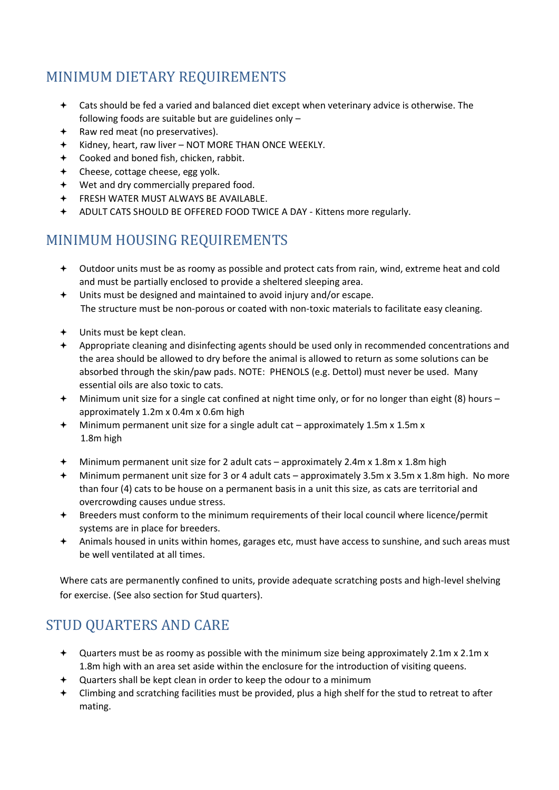# MINIMUM DIETARY REQUIREMENTS

- Cats should be fed a varied and balanced diet except when veterinary advice is otherwise. The following foods are suitable but are guidelines only –
- Raw red meat (no preservatives).
- $\div$  Kidney, heart, raw liver NOT MORE THAN ONCE WEEKLY.
- Cooked and boned fish, chicken, rabbit.
- Cheese, cottage cheese, egg yolk.
- Wet and dry commercially prepared food.
- FRESH WATER MUST ALWAYS BE AVAILABLE.
- ADULT CATS SHOULD BE OFFERED FOOD TWICE A DAY Kittens more regularly.

## MINIMUM HOUSING REQUIREMENTS

- Outdoor units must be as roomy as possible and protect cats from rain, wind, extreme heat and cold and must be partially enclosed to provide a sheltered sleeping area.
- Units must be designed and maintained to avoid injury and/or escape. The structure must be non-porous or coated with non-toxic materials to facilitate easy cleaning.
- Units must be kept clean.
- Appropriate cleaning and disinfecting agents should be used only in recommended concentrations and the area should be allowed to dry before the animal is allowed to return as some solutions can be absorbed through the skin/paw pads. NOTE: PHENOLS (e.g. Dettol) must never be used. Many essential oils are also toxic to cats.
- Minimum unit size for a single cat confined at night time only, or for no longer than eight (8) hours approximately 1.2m x 0.4m x 0.6m high
- Minimum permanent unit size for a single adult cat approximately 1.5m x 1.5m x 1.8m high
- Minimum permanent unit size for 2 adult cats approximately 2.4m x 1.8m x 1.8m high
- Minimum permanent unit size for 3 or 4 adult cats approximately 3.5m x 3.5m x 1.8m high. No more than four (4) cats to be house on a permanent basis in a unit this size, as cats are territorial and overcrowding causes undue stress.
- Breeders must conform to the minimum requirements of their local council where licence/permit systems are in place for breeders.
- Animals housed in units within homes, garages etc, must have access to sunshine, and such areas must be well ventilated at all times.

Where cats are permanently confined to units, provide adequate scratching posts and high-level shelving for exercise. (See also section for Stud quarters).

# STUD QUARTERS AND CARE

- $\triangleq$  Quarters must be as roomy as possible with the minimum size being approximately 2.1m x 2.1m x 1.8m high with an area set aside within the enclosure for the introduction of visiting queens.
- Quarters shall be kept clean in order to keep the odour to a minimum
- Climbing and scratching facilities must be provided, plus a high shelf for the stud to retreat to after mating.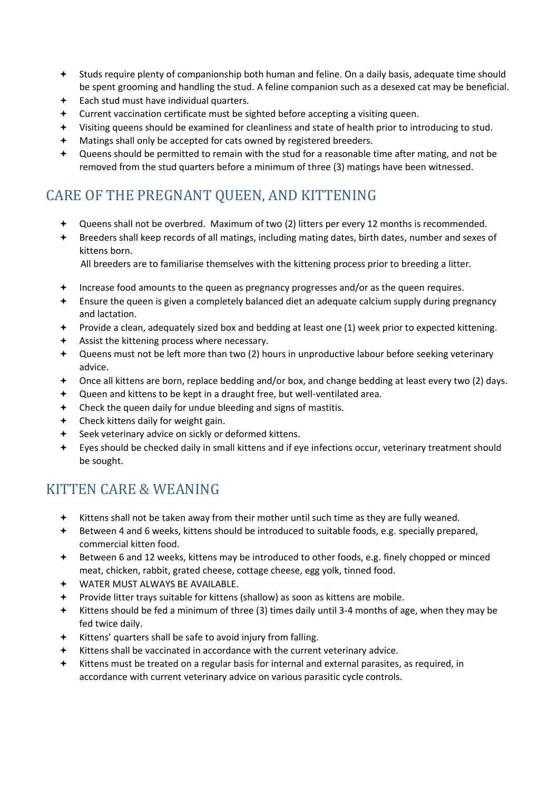- Studs require plenty of companionship both human and feline. On a daily basis, adequate time should be spent grooming and handling the stud. A feline companion such as a desexed cat may be beneficial.
- Each stud must have individual quarters.
- Current vaccination certificate must be sighted before accepting a visiting queen.
- Visiting queens should be examined for cleanliness and state of health prior to introducing to stud.
- Matings shall only be accepted for cats owned by registered breeders.
- Queens should be permitted to remain with the stud for a reasonable time after mating, and not be removed from the stud quarters before a minimum of three (3) matings have been witnessed.

# CARE OF THE PREGNANT QUEEN, AND KITTENING

- Queens shall not be overbred. Maximum of two (2) litters per every 12 months is recommended.
- Breeders shall keep records of all matings, including mating dates, birth dates, number and sexes of kittens born.

All breeders are to familiarise themselves with the kittening process prior to breeding a litter.

- Increase food amounts to the queen as pregnancy progresses and/or as the queen requires.
- Ensure the queen is given a completely balanced diet an adequate calcium supply during pregnancy and lactation.
- Provide a clean, adequately sized box and bedding at least one (1) week prior to expected kittening.
- Assist the kittening process where necessary.
- Queens must not be left more than two (2) hours in unproductive labour before seeking veterinary advice.
- Once all kittens are born, replace bedding and/or box, and change bedding at least every two (2) days.
- Queen and kittens to be kept in a draught free, but well-ventilated area.
- Check the queen daily for undue bleeding and signs of mastitis.
- Check kittens daily for weight gain.
- Seek veterinary advice on sickly or deformed kittens.
- Eyes should be checked daily in small kittens and if eye infections occur, veterinary treatment should be sought.

## KITTEN CARE & WEANING

- Kittens shall not be taken away from their mother until such time as they are fully weaned.
- Between 4 and 6 weeks, kittens should be introduced to suitable foods, e.g. specially prepared, commercial kitten food.
- Between 6 and 12 weeks, kittens may be introduced to other foods, e.g. finely chopped or minced meat, chicken, rabbit, grated cheese, cottage cheese, egg yolk, tinned food.
- WATER MUST ALWAYS BE AVAILABLE.
- Provide litter trays suitable for kittens (shallow) as soon as kittens are mobile.
- Kittens should be fed a minimum of three (3) times daily until 3-4 months of age, when they may be fed twice daily.
- Kittens' quarters shall be safe to avoid injury from falling.
- Kittens shall be vaccinated in accordance with the current veterinary advice.
- Kittens must be treated on a regular basis for internal and external parasites, as required, in accordance with current veterinary advice on various parasitic cycle controls.